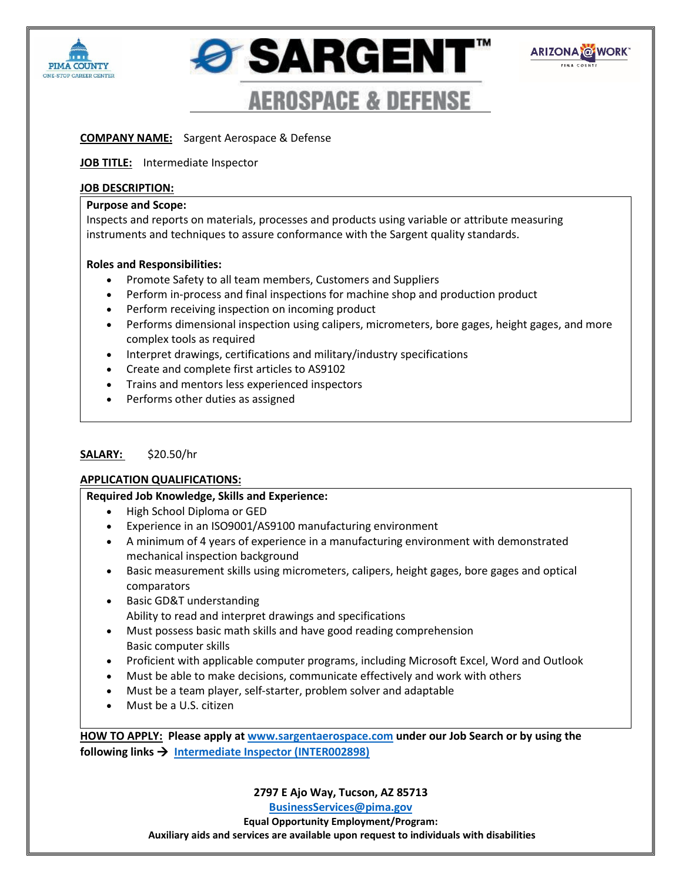





# **COMPANY NAME:** Sargent Aerospace & Defense

### **JOB TITLE:** Intermediate Inspector

## **JOB DESCRIPTION:**

## **Purpose and Scope:**

Inspects and reports on materials, processes and products using variable or attribute measuring instruments and techniques to assure conformance with the Sargent quality standards.

# **Roles and Responsibilities:**

- Promote Safety to all team members, Customers and Suppliers
- Perform in-process and final inspections for machine shop and production product
- Perform receiving inspection on incoming product
- Performs dimensional inspection using calipers, micrometers, bore gages, height gages, and more complex tools as required
- Interpret drawings, certifications and military/industry specifications
- Create and complete first articles to AS9102
- Trains and mentors less experienced inspectors
- Performs other duties as assigned

### **SALARY:** \$20.50/hr

### **APPLICATION QUALIFICATIONS:**

### **Required Job Knowledge, Skills and Experience:**

- High School Diploma or GED
- Experience in an ISO9001/AS9100 manufacturing environment
- A minimum of 4 years of experience in a manufacturing environment with demonstrated mechanical inspection background
- Basic measurement skills using micrometers, calipers, height gages, bore gages and optical comparators
- Basic GD&T understanding Ability to read and interpret drawings and specifications
- Must possess basic math skills and have good reading comprehension Basic computer skills
- Proficient with applicable computer programs, including Microsoft Excel, Word and Outlook
- Must be able to make decisions, communicate effectively and work with others
- Must be a team player, self-starter, problem solver and adaptable
- Must be a U.S. citizen

**HOW TO APPLY: Please apply at [www.sargentaerospace.com](http://www.sargentaerospace.com/) under our Job Search or by using the following links  [Intermediate Inspector \(INTER002898\)](https://recruiting.ultipro.com/ROL1001RBCAI/JobBoard/323503a8-be53-4e45-a425-31ab5d011434/Opportunity/OpportunityDetail?opportunityId=aa96d44d-78f1-4955-a0c6-cd7c925414eb&sourceId=123debc8-fcc3-452a-988c-91c0be8afb58)** 

**2797 E Ajo Way, Tucson, AZ 85713**

**[BusinessServices@pima.gov](mailto:BusinessServices@pima.gov) Equal Opportunity Employment/Program: Auxiliary aids and services are available upon request to individuals with disabilities**